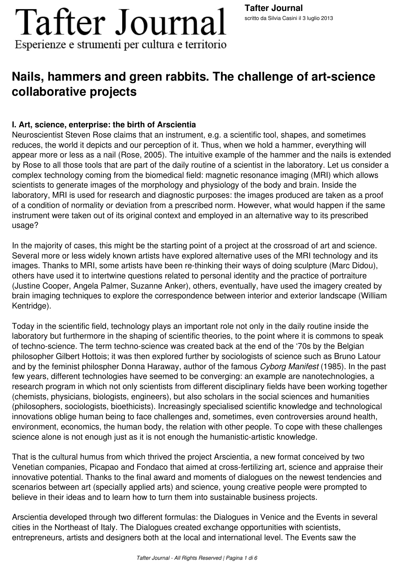### **Nails, hammers and green rabbits. The challenge of art-science collaborative projects**

#### **I. Art, science, enterprise: the birth of Arscientia**

Neuroscientist Steven Rose claims that an instrument, e.g. a scientific tool, shapes, and sometimes reduces, the world it depicts and our perception of it. Thus, when we hold a hammer, everything will appear more or less as a nail (Rose, 2005). The intuitive example of the hammer and the nails is extended by Rose to all those tools that are part of the daily routine of a scientist in the laboratory. Let us consider a complex technology coming from the biomedical field: magnetic resonance imaging (MRI) which allows scientists to generate images of the morphology and physiology of the body and brain. Inside the laboratory, MRI is used for research and diagnostic purposes: the images produced are taken as a proof of a condition of normality or deviation from a prescribed norm. However, what would happen if the same instrument were taken out of its original context and employed in an alternative way to its prescribed usage?

In the majority of cases, this might be the starting point of a project at the crossroad of art and science. Several more or less widely known artists have explored alternative uses of the MRI technology and its images. Thanks to MRI, some artists have been re-thinking their ways of doing sculpture (Marc Didou), others have used it to intertwine questions related to personal identity and the practice of portraiture (Justine Cooper, Angela Palmer, Suzanne Anker), others, eventually, have used the imagery created by brain imaging techniques to explore the correspondence between interior and exterior landscape (William Kentridge).

Today in the scientific field, technology plays an important role not only in the daily routine inside the laboratory but furthermore in the shaping of scientific theories, to the point where it is commons to speak of techno-science. The term techno-science was created back at the end of the '70s by the Belgian philosopher Gilbert Hottois; it was then explored further by sociologists of science such as Bruno Latour and by the feminist philospher Donna Haraway, author of the famous *Cyborg Manifest* (1985). In the past few years, different technologies have seemed to be converging: an example are nanotechnologies, a research program in which not only scientists from different disciplinary fields have been working together (chemists, physicians, biologists, engineers), but also scholars in the social sciences and humanities (philosophers, sociologists, bioethicists). Increasingly specialised scientific knowledge and technological innovations oblige human being to face challenges and, sometimes, even controversies around health, environment, economics, the human body, the relation with other people. To cope with these challenges science alone is not enough just as it is not enough the humanistic-artistic knowledge.

That is the cultural humus from which thrived the project Arscientia, a new format conceived by two Venetian companies, Picapao and Fondaco that aimed at cross-fertilizing art, science and appraise their innovative potential. Thanks to the final award and moments of dialogues on the newest tendencies and scenarios between art (specially applied arts) and science, young creative people were prompted to believe in their ideas and to learn how to turn them into sustainable business projects.

Arscientia developed through two different formulas: the Dialogues in Venice and the Events in several cities in the Northeast of Italy. The Dialogues created exchange opportunities with scientists, entrepreneurs, artists and designers both at the local and international level. The Events saw the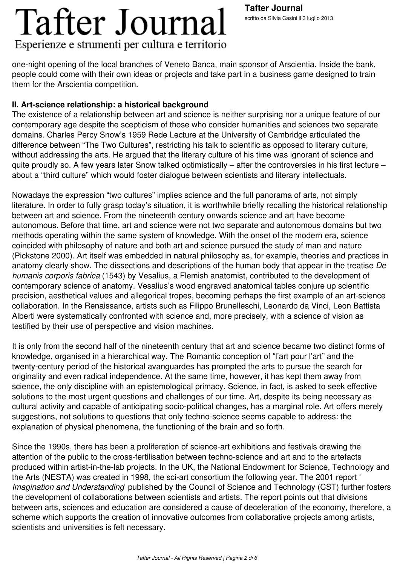**Tafter Journal** scritto da Silvia Casini il 3 luglio 2013

one-night opening of the local branches of Veneto Banca, main sponsor of Arscientia. Inside the bank, people could come with their own ideas or projects and take part in a business game designed to train them for the Arscientia competition.

#### **II. Art-science relationship: a historical background**

The existence of a relationship between art and science is neither surprising nor a unique feature of our contemporary age despite the scepticism of those who consider humanities and sciences two separate domains. Charles Percy Snow's 1959 Rede Lecture at the University of Cambridge articulated the difference between "The Two Cultures", restricting his talk to scientific as opposed to literary culture, without addressing the arts. He argued that the literary culture of his time was ignorant of science and quite proudly so. A few years later Snow talked optimistically – after the controversies in his first lecture – about a "third culture" which would foster dialogue between scientists and literary intellectuals.

Nowadays the expression "two cultures" implies science and the full panorama of arts, not simply literature. In order to fully grasp today's situation, it is worthwhile briefly recalling the historical relationship between art and science. From the nineteenth century onwards science and art have become autonomous. Before that time, art and science were not two separate and autonomous domains but two methods operating within the same system of knowledge. With the onset of the modern era, science coincided with philosophy of nature and both art and science pursued the study of man and nature (Pickstone 2000). Art itself was embedded in natural philosophy as, for example, theories and practices in anatomy clearly show. The dissections and descriptions of the human body that appear in the treatise *De humanis corporis fabrica* (1543) by Vesalius, a Flemish anatomist, contributed to the development of contemporary science of anatomy. Vesalius's wood engraved anatomical tables conjure up scientific precision, aesthetical values and allegorical tropes, becoming perhaps the first example of an art-science collaboration. In the Renaissance, artists such as Filippo Brunelleschi, Leonardo da Vinci, Leon Battista Alberti were systematically confronted with science and, more precisely, with a science of vision as testified by their use of perspective and vision machines.

It is only from the second half of the nineteenth century that art and science became two distinct forms of knowledge, organised in a hierarchical way. The Romantic conception of "l'art pour l'art" and the twenty-century period of the historical avanguardes has prompted the arts to pursue the search for originality and even radical independence. At the same time, however, it has kept them away from science, the only discipline with an epistemological primacy. Science, in fact, is asked to seek effective solutions to the most urgent questions and challenges of our time. Art, despite its being necessary as cultural activity and capable of anticipating socio-political changes, has a marginal role. Art offers merely suggestions, not solutions to questions that only techno-science seems capable to address: the explanation of physical phenomena, the functioning of the brain and so forth.

Since the 1990s, there has been a proliferation of science-art exhibitions and festivals drawing the attention of the public to the cross-fertilisation between techno-science and art and to the artefacts produced within artist-in-the-lab projects. In the UK, the National Endowment for Science, Technology and the Arts (NESTA) was created in 1998, the sci-art consortium the following year. The 2001 report ' *Imagination and Understanding*' published by the Council of Science and Technology (CST) further fosters the development of collaborations between scientists and artists. The report points out that divisions between arts, sciences and education are considered a cause of deceleration of the economy, therefore, a scheme which supports the creation of innovative outcomes from collaborative projects among artists, scientists and universities is felt necessary.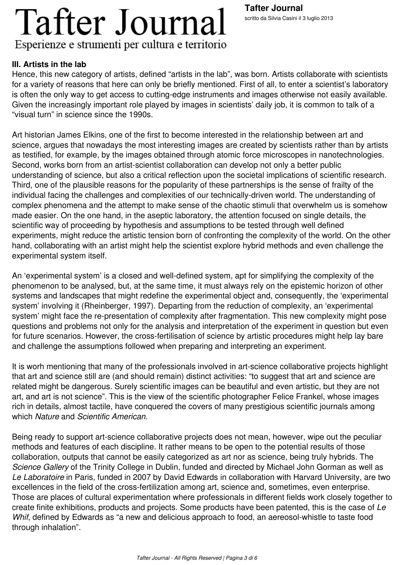#### **III. Artists in the lab**

Hence, this new category of artists, defined "artists in the lab", was born. Artists collaborate with scientists for a variety of reasons that here can only be briefly mentioned. First of all, to enter a scientist's laboratory is often the only way to get access to cutting-edge instruments and images otherwise not easily available. Given the increasingly important role played by images in scientists' daily job, it is common to talk of a "visual turn" in science since the 1990s.

Art historian James Elkins, one of the first to become interested in the relationship between art and science, argues that nowadays the most interesting images are created by scientists rather than by artists as testified, for example, by the images obtained through atomic force microscopes in nanotechnologies. Second, works born from an artist-scientist collaboration can develop not only a better public understanding of science, but also a critical reflection upon the societal implications of scientific research. Third, one of the plausible reasons for the popularity of these partnerships is the sense of frailty of the individual facing the challenges and complexities of our technically-driven world. The understanding of complex phenomena and the attempt to make sense of the chaotic stimuli that overwhelm us is somehow made easier. On the one hand, in the aseptic laboratory, the attention focused on single details, the scientific way of proceeding by hypothesis and assumptions to be tested through well defined experiments, might reduce the artistic tension born of confronting the complexity of the world. On the other hand, collaborating with an artist might help the scientist explore hybrid methods and even challenge the experimental system itself.

An 'experimental system' is a closed and well-defined system, apt for simplifying the complexity of the phenomenon to be analysed, but, at the same time, it must always rely on the epistemic horizon of other systems and landscapes that might redefine the experimental object and, consequently, the 'experimental system' involving it (Rheinberger, 1997). Departing from the reduction of complexity, an 'experimental system' might face the re-presentation of complexity after fragmentation. This new complexity might pose questions and problems not only for the analysis and interpretation of the experiment in question but even for future scenarios. However, the cross-fertilisation of science by artistic procedures might help lay bare and challenge the assumptions followed when preparing and interpreting an experiment.

It is worh mentioning that many of the professionals involved in art-science collaborative projects highlight that art and science still are (and should remain) distinct activities: "to suggest that art and science are related might be dangerous. Surely scientific images can be beautiful and even artistic, but they are not art, and art is not science". This is the view of the scientific photographer Felice Frankel, whose images rich in details, almost tactile, have conquered the covers of many prestigious scientific journals among which *Nature* and *Scientific American*.

Being ready to support art-science collaborative projects does not mean, however, wipe out the peculiar methods and features of each discipline. It rather means to be open to the potential results of those collaboration, outputs that cannot be easily categorized as art nor as science, being truly hybrids. The *Science Gallery* of the Trinity College in Dublin, funded and directed by Michael John Gorman as well as *Le Laboratoire* in Paris, funded in 2007 by David Edwards in collaboration with Harvard University, are two excellences in the field of the cross-fertilization among art, science and, sometimes, even enterprise. Those are places of cultural experimentation where professionals in different fields work closely together to create finite exhibitions, products and projects. Some products have been patented, this is the case of *Le Whif*, defined by Edwards as "a new and delicious approach to food, an aereosol-whistle to taste food through inhalation".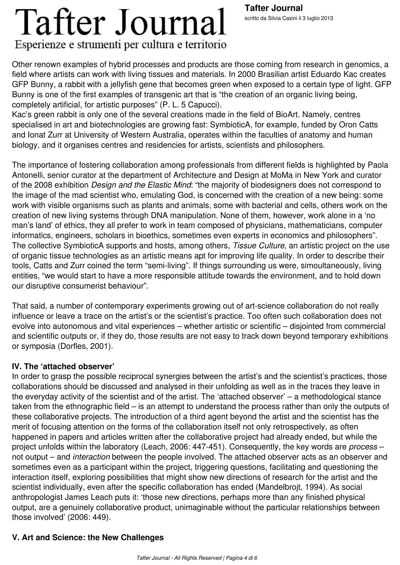#### Other renown examples of hybrid processes and products are those coming from research in genomics, a field where artists can work with living tissues and materials. In 2000 Brasilian artist Eduardo Kac creates GFP Bunny, a rabbit with a jellyfish gene that becomes green when exposed to a certain type of light. GFP Bunny is one of the first examples of transgenic art that is "the creation of an organic living being, completely artificial, for artistic purposes" (P. L. 5 Capucci).

Kac's green rabbit is only one of the several creations made in the field of BioArt. Namely, centres specialised in art and biotechnologies are growing fast: SymbioticA, for example, funded by Oron Catts and Ionat Zurr at University of Western Australia, operates within the faculties of anatomy and human biology, and it organises centres and residencies for artists, scientists and philosophers.

The importance of fostering collaboration among professionals from different fields is highlighted by Paola Antonelli, senior curator at the department of Architecture and Design at MoMa in New York and curator of the 2008 exhibition *Design and the Elastic Mind*: "the majority of biodesigners does not correspond to the image of the mad scientist who, emulating God, is concerned with the creation of a new being: some work with visible organisms such as plants and animals, some with bacterial and cells, others work on the creation of new living systems through DNA manipulation. None of them, however, work alone in a 'no man's land' of ethics, they all prefer to work in team composed of physicians, mathematicians, computer informatics, engineers, scholars in bioethics, sometimes even experts in economics and philosophers". The collective SymbioticA supports and hosts, among others, *Tissue Culture*, an artistic project on the use of organic tissue technologies as an artistic means apt for improving life quality. In order to describe their tools, Catts and Zurr coined the term "semi-living". If things surrounding us were, simoultaneously, living entities, "we would start to have a more responsible attitude towards the environment, and to hold down our disruptive consumerist behaviour".

That said, a number of contemporary experiments growing out of art-science collaboration do not really influence or leave a trace on the artist's or the scientist's practice. Too often such collaboration does not evolve into autonomous and vital experiences – whether artistic or scientific – disjointed from commercial and scientific outputs or, if they do, those results are not easy to track down beyond temporary exhibitions or symposia (Dorfles, 2001).

#### **IV. The 'attached observer'**

In order to grasp the possible reciprocal synergies between the artist's and the scientist's practices, those collaborations should be discussed and analysed in their unfolding as well as in the traces they leave in the everyday activity of the scientist and of the artist. The 'attached observer' – a methodological stance taken from the ethnographic field – is an attempt to understand the process rather than only the outputs of these collaborative projects. The introduction of a third agent beyond the artist and the scientist has the merit of focusing attention on the forms of the collaboration itself not only retrospectively, as often happened in papers and articles written after the collaborative project had already ended, but while the project unfolds within the laboratory (Leach, 2006: 447-451). Consequently, the key words are *process* – not output – and *interaction* between the people involved. The attached observer acts as an observer and sometimes even as a participant within the project, triggering questions, facilitating and questioning the interaction itself, exploring possibilities that might show new directions of research for the artist and the scientist individually, even after the specific collaboration has ended (Mandelbrojt, 1994). As social anthropologist James Leach puts it: 'those new directions, perhaps more than any finished physical output, are a genuinely collaborative product, unimaginable without the particular relationships between those involved' (2006: 449).

#### **V. Art and Science: the New Challenges**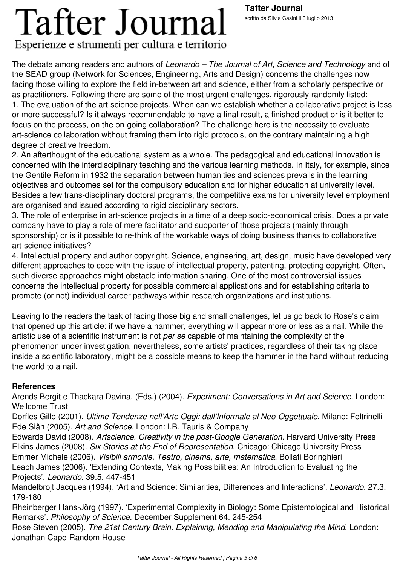# **Tafter Journal**

#### Esperienze e strumenti per cultura e territorio

The debate among readers and authors of *Leonardo – The Journal of Art, Science and Technology* and of the SEAD group (Network for Sciences, Engineering, Arts and Design) concerns the challenges now facing those willing to explore the field in-between art and science, either from a scholarly perspective or as practitioners. Following there are some of the most urgent challenges, rigorously randomly listed: 1. The evaluation of the art-science projects. When can we establish whether a collaborative project is less or more successful? Is it always recommendable to have a final result, a finished product or is it better to focus on the process, on the on-going collaboration? The challenge here is the necessity to evaluate art-science collaboration without framing them into rigid protocols, on the contrary maintaining a high degree of creative freedom.

2. An afterthought of the educational system as a whole. The pedagogical and educational innovation is concerned with the interdisciplinary teaching and the various learning methods. In Italy, for example, since the Gentile Reform in 1932 the separation between humanities and sciences prevails in the learning objectives and outcomes set for the compulsory education and for higher education at university level. Besides a few trans-disciplinary doctoral programs, the competitive exams for university level employment are organised and issued according to rigid disciplinary sectors.

3. The role of enterprise in art-science projects in a time of a deep socio-economical crisis. Does a private company have to play a role of mere facilitator and supporter of those projects (mainly through sponsorship) or is it possible to re-think of the workable ways of doing business thanks to collaborative art-science initiatives?

4. Intellectual property and author copyright. Science, engineering, art, design, music have developed very different approaches to cope with the issue of intellectual property, patenting, protecting copyright. Often, such diverse approaches might obstacle information sharing. One of the most controversial issues concerns the intellectual property for possible commercial applications and for establishing criteria to promote (or not) individual career pathways within research organizations and institutions.

Leaving to the readers the task of facing those big and small challenges, let us go back to Rose's claim that opened up this article: if we have a hammer, everything will appear more or less as a nail. While the artistic use of a scientific instrument is not *per se* capable of maintaining the complexity of the phenomenon under investigation, nevertheless, some artists' practices, regardless of their taking place inside a scientific laboratory, might be a possible means to keep the hammer in the hand without reducing the world to a nail.

#### **References**

Arends Bergit e Thackara Davina. (Eds.) (2004). *Experiment: Conversations in Art and Science*. London: Wellcome Trust

Dorfles Gillo (2001). *Ultime Tendenze nell'Arte Oggi: dall'Informale al Neo-Oggettuale*. Milano: Feltrinelli Ede Siân (2005). *Art and Science*. London: I.B. Tauris & Company

Edwards David (2008). *Artscience. Creativity in the post-Google Generation*. Harvard University Press Elkins James (2008). *Six Stories at the End of Representation*. Chicago: Chicago University Press Emmer Michele (2006). *Visibili armonie. Teatro, cinema, arte, matematica*. Bollati Boringhieri Leach James (2006). 'Extending Contexts, Making Possibilities: An Introduction to Evaluating the Projects'. *Leonardo*. 39.5. 447-451

Mandelbrojt Jacques (1994). 'Art and Science: Similarities, Differences and Interactions'. *Leonardo*. 27.3. 179-180

Rheinberger Hans-Jörg (1997). 'Experimental Complexity in Biology: Some Epistemological and Historical Remarks'. *Philosophy of Science*. December Supplement 64. 245-254

Rose Steven (2005). *The 21st Century Brain. Explaining, Mending and Manipulating the Mind*. London: Jonathan Cape-Random House